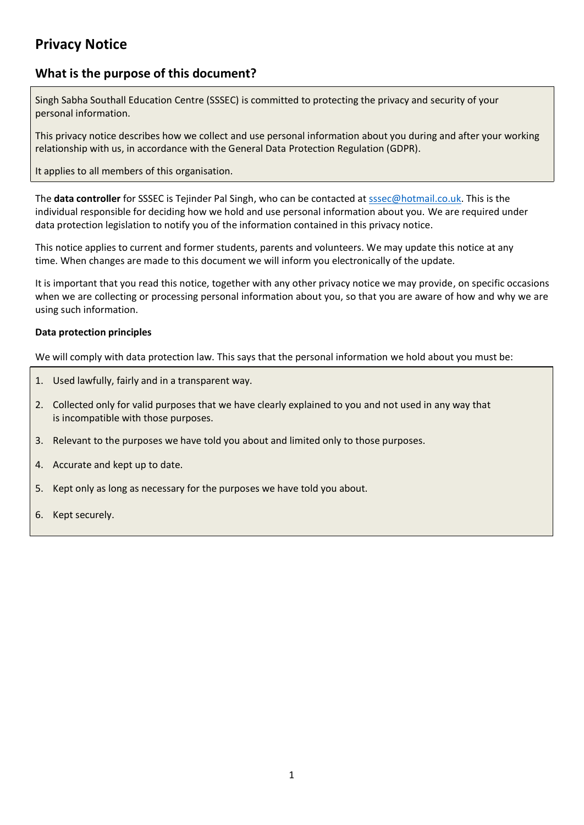# **Privacy Notice**

## **What is the purpose of this document?**

Singh Sabha Southall Education Centre (SSSEC) is committed to protecting the privacy and security of your personal information.

This privacy notice describes how we collect and use personal information about you during and after your working relationship with us, in accordance with the General Data Protection Regulation (GDPR).

It applies to all members of this organisation.

The **data controller** for SSSEC is Tejinder Pal Singh, who can be contacted at sssec@hotmail.co.uk. This is the individual responsible for deciding how we hold and use personal information about you. We are required under data protection legislation to notify you of the information contained in this privacy notice.

This notice applies to current and former students, parents and volunteers. We may update this notice at any time. When changes are made to this document we will inform you electronically of the update.

It is important that you read this notice, together with any other privacy notice we may provide, on specific occasions when we are collecting or processing personal information about you, so that you are aware of how and why we are using such information.

#### **Data protection principles**

We will comply with data protection law. This says that the personal information we hold about you must be:

- 1. Used lawfully, fairly and in a transparent way.
- 2. Collected only for valid purposes that we have clearly explained to you and not used in any way that is incompatible with those purposes.
- 3. Relevant to the purposes we have told you about and limited only to those purposes.
- 4. Accurate and kept up to date.
- 5. Kept only as long as necessary for the purposes we have told you about.
- 6. Kept securely.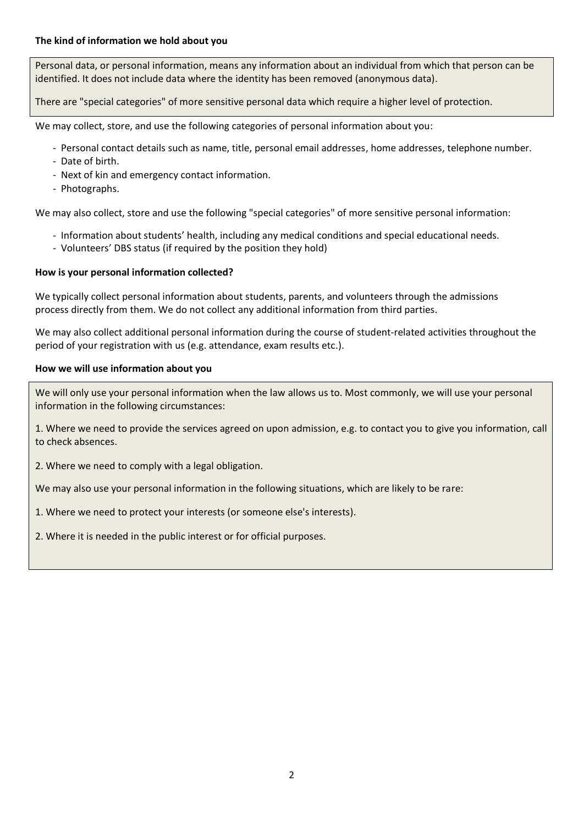Personal data, or personal information, means any information about an individual from which that person can be identified. It does not include data where the identity has been removed (anonymous data).

There are "special categories" of more sensitive personal data which require a higher level of protection.

We may collect, store, and use the following categories of personal information about you:

- Personal contact details such as name, title, personal email addresses, home addresses, telephone number.
- Date of birth.
- Next of kin and emergency contact information.
- Photographs.

We may also collect, store and use the following "special categories" of more sensitive personal information:

- Information about students' health, including any medical conditions and special educational needs.
- Volunteers' DBS status (if required by the position they hold)

#### **How is your personal information collected?**

We typically collect personal information about students, parents, and volunteers through the admissions process directly from them. We do not collect any additional information from third parties.

We may also collect additional personal information during the course of student-related activities throughout the period of your registration with us (e.g. attendance, exam results etc.).

#### **How we will use information about you**

We will only use your personal information when the law allows us to. Most commonly, we will use your personal information in the following circumstances:

1. Where we need to provide the services agreed on upon admission, e.g. to contact you to give you information, call to check absences.

2. Where we need to comply with a legal obligation.

We may also use your personal information in the following situations, which are likely to be rare:

1. Where we need to protect your interests (or someone else's interests).

2. Where it is needed in the public interest or for official purposes.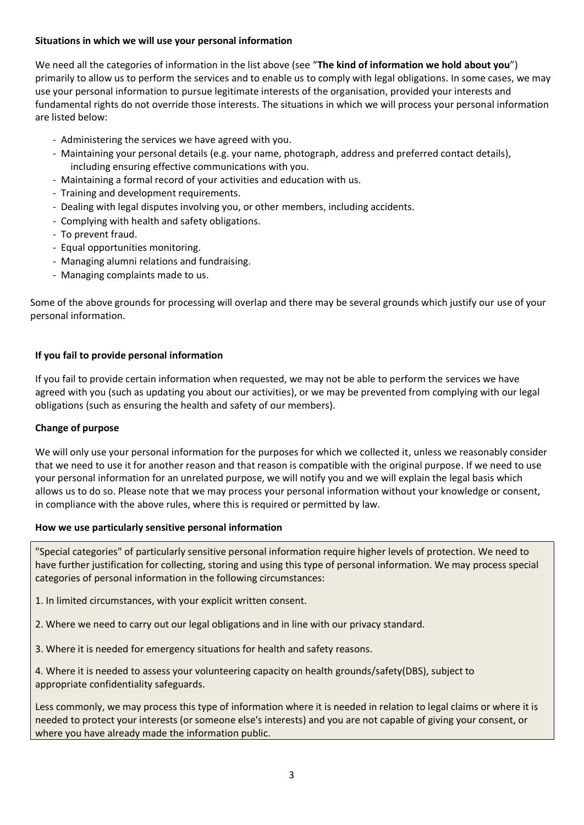## **Situations in which we will use your personal information**

We need all the categories of information in the list above (see "**The kind of information we hold about you**") primarily to allow us to perform the services and to enable us to comply with legal obligations. In some cases, we may use your personal information to pursue legitimate interests of the organisation, provided your interests and fundamental rights do not override those interests. The situations in which we will process your personal information are listed below:

- Administering the services we have agreed with you.
- Maintaining your personal details (e.g. your name, photograph, address and preferred contact details), including ensuring effective communications with you.
- Maintaining a formal record of your activities and education with us.
- Training and development requirements.
- Dealing with legal disputes involving you, or other members, including accidents.
- Complying with health and safety obligations.
- To prevent fraud.
- Equal opportunities monitoring.
- Managing alumni relations and fundraising.
- Managing complaints made to us.

Some of the above grounds for processing will overlap and there may be several grounds which justify our use of your personal information.

## **If you fail to provide personal information**

If you fail to provide certain information when requested, we may not be able to perform the services we have agreed with you (such as updating you about our activities), or we may be prevented from complying with our legal obligations (such as ensuring the health and safety of our members).

## **Change of purpose**

We will only use your personal information for the purposes for which we collected it, unless we reasonably consider that we need to use it for another reason and that reason is compatible with the original purpose. If we need to use your personal information for an unrelated purpose, we will notify you and we will explain the legal basis which allows us to do so. Please note that we may process your personal information without your knowledge or consent, in compliance with the above rules, where this is required or permitted by law.

#### **How we use particularly sensitive personal information**

"Special categories" of particularly sensitive personal information require higher levels of protection. We need to have further justification for collecting, storing and using this type of personal information. We may process special categories of personal information in the following circumstances:

- 1. In limited circumstances, with your explicit written consent.
- 2. Where we need to carry out our legal obligations and in line with our privacy standard.
- 3. Where it is needed for emergency situations for health and safety reasons.

4. Where it is needed to assess your volunteering capacity on health grounds/safety(DBS), subject to appropriate confidentiality safeguards.

Less commonly, we may process this type of information where it is needed in relation to legal claims or where it is needed to protect your interests (or someone else's interests) and you are not capable of giving your consent, or where you have already made the information public.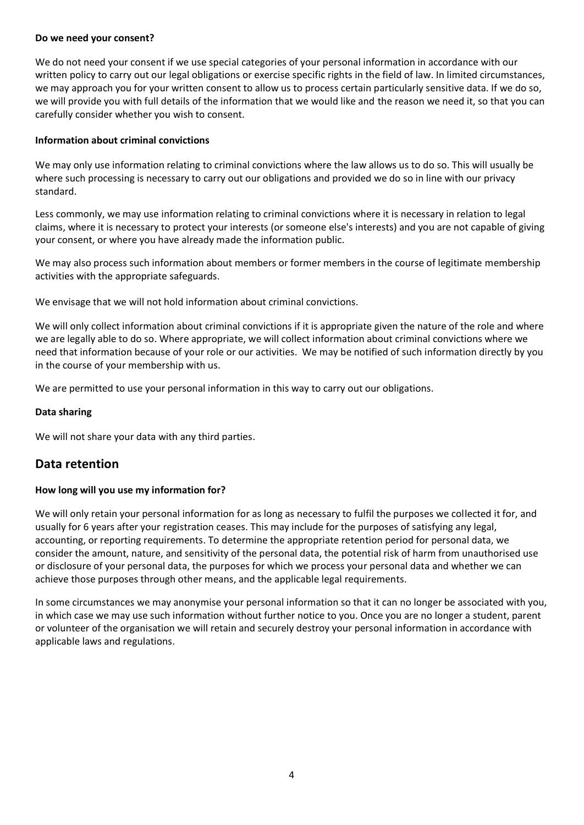#### **Do we need your consent?**

We do not need your consent if we use special categories of your personal information in accordance with our written policy to carry out our legal obligations or exercise specific rights in the field of law. In limited circumstances, we may approach you for your written consent to allow us to process certain particularly sensitive data. If we do so, we will provide you with full details of the information that we would like and the reason we need it, so that you can carefully consider whether you wish to consent.

#### **Information about criminal convictions**

We may only use information relating to criminal convictions where the law allows us to do so. This will usually be where such processing is necessary to carry out our obligations and provided we do so in line with our privacy standard.

Less commonly, we may use information relating to criminal convictions where it is necessary in relation to legal claims, where it is necessary to protect your interests (or someone else's interests) and you are not capable of giving your consent, or where you have already made the information public.

We may also process such information about members or former members in the course of legitimate membership activities with the appropriate safeguards.

We envisage that we will not hold information about criminal convictions.

We will only collect information about criminal convictions if it is appropriate given the nature of the role and where we are legally able to do so. Where appropriate, we will collect information about criminal convictions where we need that information because of your role or our activities. We may be notified of such information directly by you in the course of your membership with us.

We are permitted to use your personal information in this way to carry out our obligations.

#### **Data sharing**

We will not share your data with any third parties.

## **Data retention**

#### **How long will you use my information for?**

We will only retain your personal information for as long as necessary to fulfil the purposes we collected it for, and usually for 6 years after your registration ceases. This may include for the purposes of satisfying any legal, accounting, or reporting requirements. To determine the appropriate retention period for personal data, we consider the amount, nature, and sensitivity of the personal data, the potential risk of harm from unauthorised use or disclosure of your personal data, the purposes for which we process your personal data and whether we can achieve those purposes through other means, and the applicable legal requirements.

In some circumstances we may anonymise your personal information so that it can no longer be associated with you, in which case we may use such information without further notice to you. Once you are no longer a student, parent or volunteer of the organisation we will retain and securely destroy your personal information in accordance with applicable laws and regulations.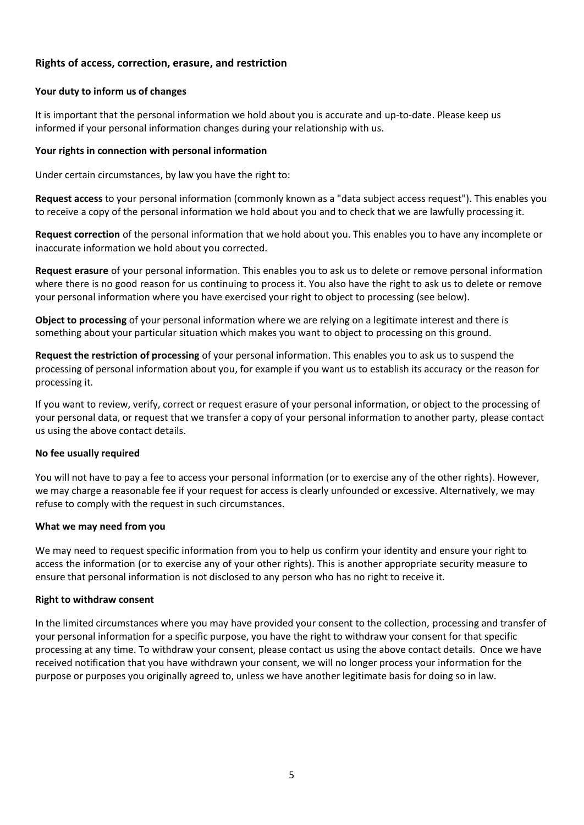## **Rights of access, correction, erasure, and restriction**

#### **Your duty to inform us of changes**

It is important that the personal information we hold about you is accurate and up-to-date. Please keep us informed if your personal information changes during your relationship with us.

#### **Your rights in connection with personal information**

Under certain circumstances, by law you have the right to:

**Request access** to your personal information (commonly known as a "data subject access request"). This enables you to receive a copy of the personal information we hold about you and to check that we are lawfully processing it.

**Request correction** of the personal information that we hold about you. This enables you to have any incomplete or inaccurate information we hold about you corrected.

**Request erasure** of your personal information. This enables you to ask us to delete or remove personal information where there is no good reason for us continuing to process it. You also have the right to ask us to delete or remove your personal information where you have exercised your right to object to processing (see below).

**Object to processing** of your personal information where we are relying on a legitimate interest and there is something about your particular situation which makes you want to object to processing on this ground.

**Request the restriction of processing** of your personal information. This enables you to ask us to suspend the processing of personal information about you, for example if you want us to establish its accuracy or the reason for processing it.

If you want to review, verify, correct or request erasure of your personal information, or object to the processing of your personal data, or request that we transfer a copy of your personal information to another party, please contact us using the above contact details.

#### **No fee usually required**

You will not have to pay a fee to access your personal information (or to exercise any of the other rights). However, we may charge a reasonable fee if your request for access is clearly unfounded or excessive. Alternatively, we may refuse to comply with the request in such circumstances.

#### **What we may need from you**

We may need to request specific information from you to help us confirm your identity and ensure your right to access the information (or to exercise any of your other rights). This is another appropriate security measure to ensure that personal information is not disclosed to any person who has no right to receive it.

#### **Right to withdraw consent**

In the limited circumstances where you may have provided your consent to the collection, processing and transfer of your personal information for a specific purpose, you have the right to withdraw your consent for that specific processing at any time. To withdraw your consent, please contact us using the above contact details. Once we have received notification that you have withdrawn your consent, we will no longer process your information for the purpose or purposes you originally agreed to, unless we have another legitimate basis for doing so in law.